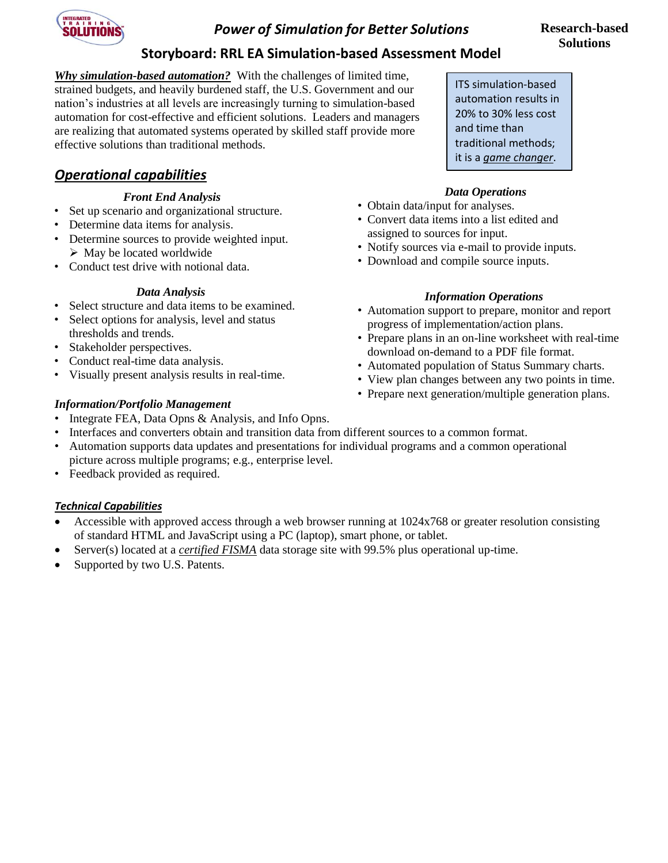

# *Power of Simulation for Better Solutions*

# **Storyboard: RRL EA Simulation-based Assessment Model**

*Why simulation-based automation?* With the challenges of limited time, strained budgets, and heavily burdened staff, the U.S. Government and our nation's industries at all levels are increasingly turning to simulation-based automation for cost-effective and efficient solutions. Leaders and managers are realizing that automated systems operated by skilled staff provide more effective solutions than traditional methods.

# *Operational capabilities*

#### *Front End Analysis*

- Set up scenario and organizational structure.
- Determine data items for analysis.
- Determine sources to provide weighted input.  $\triangleright$  May be located worldwide
- Conduct test drive with notional data.

#### *Data Analysis*

- Select structure and data items to be examined.
- Select options for analysis, level and status thresholds and trends.
- Stakeholder perspectives.
- Conduct real-time data analysis.
- Visually present analysis results in real-time.

#### *Information/Portfolio Management*

- Integrate FEA, Data Opns & Analysis, and Info Opns.
- Interfaces and converters obtain and transition data from different sources to a common format.
- Automation supports data updates and presentations for individual programs and a common operational picture across multiple programs; e.g., enterprise level.
- Feedback provided as required.

### *Technical Capabilities*

- Accessible with approved access through a web browser running at 1024x768 or greater resolution consisting of standard HTML and JavaScript using a PC (laptop), smart phone, or tablet.
- Server(s) located at a *certified FISMA* data storage site with 99.5% plus operational up-time.
- Supported by two U.S. Patents.

ITS simulation-based automation results in 20% to 30% less cost and time than traditional methods; it is a *game changer*.

#### *Data Operations*

- Obtain data/input for analyses.
- Convert data items into a list edited and assigned to sources for input.
- Notify sources via e-mail to provide inputs.
- Download and compile source inputs.

#### *Information Operations*

- Automation support to prepare, monitor and report progress of implementation/action plans.
- Prepare plans in an on-line worksheet with real-time download on-demand to a PDF file format.
- Automated population of Status Summary charts.
- View plan changes between any two points in time.
- Prepare next generation/multiple generation plans.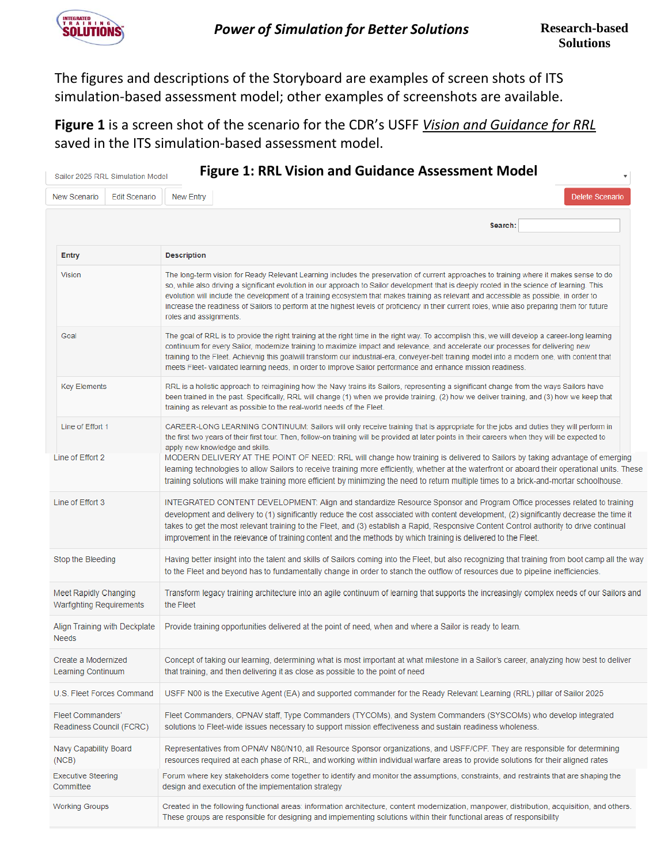

The figures and descriptions of the Storyboard are examples of screen shots of ITS simulation-based assessment model; other examples of screenshots are available.

**Figure 1** is a screen shot of the scenario for the CDR's USFF *Vision and Guidance for RRL* saved in the ITS simulation-based assessment model.

|                                                   | Sailor 2025 RRL Simulation Model | <b>Figure 1: RRL Vision and Guidance Assessment Model</b>                                                                                                                                                                                                                                                                                                                                                                                                                                                                                                                                                    |
|---------------------------------------------------|----------------------------------|--------------------------------------------------------------------------------------------------------------------------------------------------------------------------------------------------------------------------------------------------------------------------------------------------------------------------------------------------------------------------------------------------------------------------------------------------------------------------------------------------------------------------------------------------------------------------------------------------------------|
| New Scenario                                      | <b>Edit Scenario</b>             | New Entry<br><b>Delete Scenario</b>                                                                                                                                                                                                                                                                                                                                                                                                                                                                                                                                                                          |
|                                                   |                                  | Search:                                                                                                                                                                                                                                                                                                                                                                                                                                                                                                                                                                                                      |
| <b>Entry</b>                                      |                                  | <b>Description</b>                                                                                                                                                                                                                                                                                                                                                                                                                                                                                                                                                                                           |
| <b>Vision</b>                                     |                                  | The long-term vision for Ready Relevant Learning includes the preservation of current approaches to training where it makes sense to do<br>so, while also driving a significant evolution in our approach to Sailor development that is deeply rooted in the science of learning. This<br>evolution will include the development of a training ecosystem that makes training as relevant and accessible as possible, in order to<br>increase the readiness of Sailors to perform at the highest levels of proficiency in their current roles, while also preparing them for future<br>roles and assignments. |
| Goal                                              |                                  | The goal of RRL is to provide the right training at the right time in the right way. To accomplish this, we will develop a career-long learning<br>continuum for every Sailor, modernize training to maximize impact and relevance, and accelerate our processes for delivering new<br>training to the Fleet. Achievnig this goalwill transform our industrial-era, conveyer-belt training model into a modern one, with content that<br>meets Fleet- validated learning needs, in order to improve Sailor performance and enhance mission readiness.                                                        |
| <b>Key Elements</b>                               |                                  | RRL is a holistic approach to reimagining how the Navy trains its Sailors, representing a significant change from the ways Sailors have<br>been trained in the past. Specifically, RRL will change (1) when we provide training, (2) how we deliver training, and (3) how we keep that<br>training as relevant as possible to the real-world needs of the Fleet.                                                                                                                                                                                                                                             |
| Line of Effort 1                                  |                                  | CAREER-LONG LEARNING CONTINUUM: Sailors will only receive training that is appropriate for the jobs and duties they will perform in<br>the first two years of their first tour. Then, follow-on training will be provided at later points in their careers when they will be expected to<br>apply new knowledge and skills.                                                                                                                                                                                                                                                                                  |
| Line of Effort 2                                  |                                  | MODERN DELIVERY AT THE POINT OF NEED: RRL will change how training is delivered to Sailors by taking advantage of emerging<br>learning technologies to allow Sailors to receive training more efficiently, whether at the waterfront or aboard their operational units. These<br>training solutions will make training more efficient by minimizing the need to return multiple times to a brick-and-mortar schoolhouse.                                                                                                                                                                                     |
| Line of Effort 3                                  |                                  | INTEGRATED CONTENT DEVELOPMENT: Align and standardize Resource Sponsor and Program Office processes related to training<br>development and delivery to (1) significantly reduce the cost associated with content development, (2) significantly decrease the time it<br>takes to get the most relevant training to the Fleet, and (3) establish a Rapid, Responsive Content Control authority to drive continual<br>improvement in the relevance of training content and the methods by which training is delivered to the Fleet.                                                                            |
| Stop the Bleeding                                 |                                  | Having better insight into the talent and skills of Sailors coming into the Fleet, but also recognizing that training from boot camp all the way<br>to the Fleet and beyond has to fundamentally change in order to stanch the outflow of resources due to pipeline inefficiencies.                                                                                                                                                                                                                                                                                                                          |
| Meet Rapidly Changing<br>Warfighting Requirements |                                  | Transform legacy training architecture into an agile continuum of learning that supports the increasingly complex needs of our Sailors and<br>the Fleet                                                                                                                                                                                                                                                                                                                                                                                                                                                      |
| Align Training with Deckplate<br><b>Needs</b>     |                                  | Provide training opportunities delivered at the point of need, when and where a Sailor is ready to learn.                                                                                                                                                                                                                                                                                                                                                                                                                                                                                                    |
| Create a Modernized<br>Learning Continuum         |                                  | Concept of taking our learning, determining what is most important at what milestone in a Sailor's career, analyzing how best to deliver<br>that training, and then delivering it as close as possible to the point of need                                                                                                                                                                                                                                                                                                                                                                                  |
| U.S. Fleet Forces Command                         |                                  | USFF N00 is the Executive Agent (EA) and supported commander for the Ready Relevant Learning (RRL) pillar of Sailor 2025                                                                                                                                                                                                                                                                                                                                                                                                                                                                                     |
| Fleet Commanders'<br>Readiness Council (FCRC)     |                                  | Fleet Commanders, OPNAV staff, Type Commanders (TYCOMs), and System Commanders (SYSCOMs) who develop integrated<br>solutions to Fleet-wide issues necessary to support mission effectiveness and sustain readiness wholeness.                                                                                                                                                                                                                                                                                                                                                                                |
| Navy Capability Board<br>(NCB)                    |                                  | Representatives from OPNAV N80/N10, all Resource Sponsor organizations, and USFF/CPF. They are responsible for determining<br>resources required at each phase of RRL, and working within individual warfare areas to provide solutions for their aligned rates                                                                                                                                                                                                                                                                                                                                              |
| <b>Executive Steering</b><br>Committee            |                                  | Forum where key stakeholders come together to identify and monitor the assumptions, constraints, and restraints that are shaping the<br>design and execution of the implementation strategy                                                                                                                                                                                                                                                                                                                                                                                                                  |
| <b>Working Groups</b>                             |                                  | Created in the following functional areas: information architecture, content modernization, manpower, distribution, acquisition, and others.<br>These groups are responsible for designing and implementing solutions within their functional areas of responsibility                                                                                                                                                                                                                                                                                                                                        |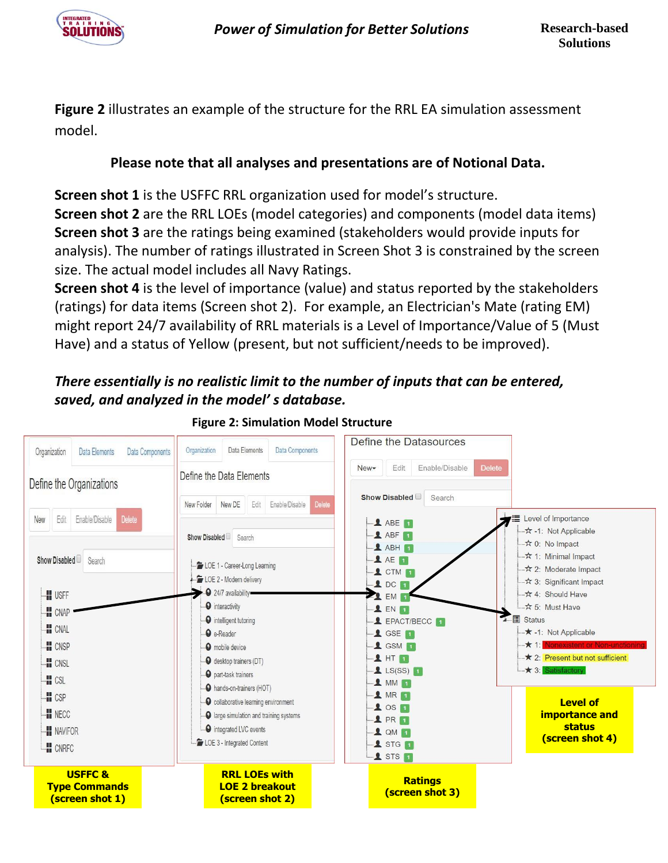

**Figure 2** illustrates an example of the structure for the RRL EA simulation assessment model.

# **Please note that all analyses and presentations are of Notional Data.**

**Screen shot 1** is the USFFC RRL organization used for model's structure.

**Screen shot 2** are the RRL LOEs (model categories) and components (model data items) **Screen shot 3** are the ratings being examined (stakeholders would provide inputs for analysis). The number of ratings illustrated in Screen Shot 3 is constrained by the screen size. The actual model includes all Navy Ratings.

**Screen shot 4** is the level of importance (value) and status reported by the stakeholders (ratings) for data items (Screen shot 2). For example, an Electrician's Mate (rating EM) might report 24/7 availability of RRL materials is a Level of Importance/Value of 5 (Must Have) and a status of Yellow (present, but not sufficient/needs to be improved).

# *There essentially is no realistic limit to the number of inputs that can be entered, saved, and analyzed in the model' s database.*



# **[Figure](http://www.itsnc.net/) 2: Simulation Model Structure**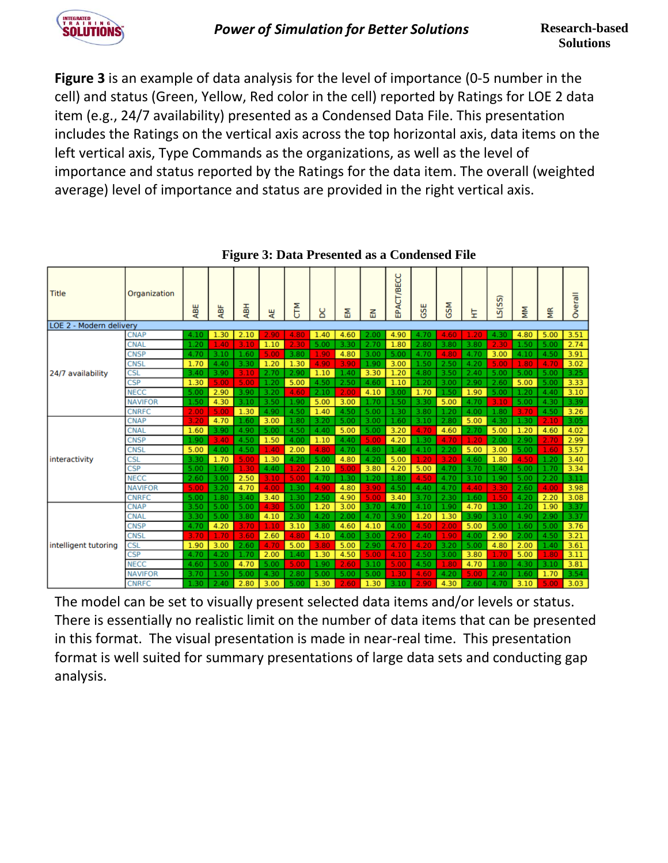**Figure 3** is an example of data analysis for the level of importance (0-5 number in the cell) and status (Green, Yellow, Red color in the cell) reported by Ratings for LOE 2 data item (e.g., 24/7 availability) presented as a Condensed Data File. This presentation includes the Ratings on the vertical axis across the top horizontal axis, data items on the left vertical axis, Type Commands as the organizations, as well as the level of importance and status reported by the Ratings for the data item. The overall (weighted average) level of importance and status are provided in the right vertical axis.

| Title                   | Organization   | ABE  | ABF  | ₹    | 뿡    | <b>E</b><br>U | ပ္မ  | 됦    | 룹    | EPACT/BECC | ш<br>G | <b>GSM</b> | 보    | ທີ<br>Sis. | ΜM   | ξ    | Overall |
|-------------------------|----------------|------|------|------|------|---------------|------|------|------|------------|--------|------------|------|------------|------|------|---------|
| LOE 2 - Modern delivery | <b>CNAP</b>    | 4.10 | 1.30 | 2.10 | 2.90 | 4.80          | 1.40 | 4.60 | 2.00 | 4.90       | 4.70   | 4.60       | 1.20 | 4.30       | 4.80 | 5.00 | 3.51    |
|                         | <b>CNAL</b>    | 1.20 | 1.40 | 3.10 | 1.10 | 2.30          | 5.00 | 3.30 | 2.70 | 1.80       | 2.80   | 3.80       | 3.80 | 2.30       | 1.50 | 5.00 | 2.74    |
|                         | <b>CNSP</b>    | 4.70 | 3.10 | 1.60 | 5.00 | 3.80          | 1.90 | 4.80 | 3.00 | 5.00       | 4.70   | 4.80       | 4.70 | 3.00       | 4.10 | 4.50 | 3.91    |
|                         | <b>CNSL</b>    | 1.70 | 4.40 | 3.30 | 1.20 | 1.30          | 4.90 | 3.90 | 1.90 | 3.00       | 1.50   | 2.50       | 4.20 | 5.00       | 1.80 | 4.70 | 3.02    |
| 24/7 availability       | <b>CSL</b>     | 3.40 | 3.90 | 3.10 | 2.70 | 2.90          | 1.10 | 1.40 | 3.30 | 1.20       | 4.80   | 3.50       | 2.40 | 5.00       | 5.00 | 5.00 | 3.25    |
|                         | <b>CSP</b>     | 1.30 | 5.00 | 5.00 | 1.20 | 5.00          | 4.50 | 2.50 | 4.60 | 1.10       | 1.20   | 3.00       | 2.90 | 2.60       | 5.00 | 5.00 | 3.33    |
|                         | <b>NECC</b>    | 5.00 | 2.90 | 3.90 | 3.20 | 4.60          | 2.10 | 2.00 | 4.10 | 3.00       | 1.70   | 1.50       | 1.90 | 5.00       | 1.20 | 4.40 | 3.10    |
|                         | <b>NAVIFOR</b> | 1.50 | 4.30 | 3.10 | 3.50 | 1.90          | 5.00 | 3.00 | 1.70 | 1.50       | 3.30   | 5.00       | 4.70 | 3.10       | 5.00 | 4.30 | 3.39    |
|                         | <b>CNRFC</b>   | 2.00 | 5.00 | 1.30 | 4.90 | 4.50          | 1.40 | 4.50 | 5.00 | 1.30       | 3.80   | 1.20       | 4.00 | 1.80       | 3.70 | 4.50 | 3.26    |
|                         | <b>CNAP</b>    | 3.20 | 4.70 | 1.60 | 3.00 | 1.80          | 3.20 | 5.00 | 3.00 | 1.60       | 3.10   | 2.80       | 5.00 | 4.30       | 1.30 | 2.10 | 3.05    |
|                         | <b>CNAL</b>    | 1.60 | 3.90 | 4.90 | 5.00 | 4.50          | 4.40 | 5.00 | 5.00 | 3.20       | 4.70   | 4.60       | 2.70 | 5.00       | 1.20 | 4.60 | 4.02    |
|                         | <b>CNSP</b>    | 1.90 | 3.40 | 4.50 | 1.50 | 4.00          | 1.10 | 4.40 | 5.00 | 4.20       | 1.30   | 4.70       | 1.20 | 2.00       | 2.90 | 2.70 | 2.99    |
|                         | <b>CNSL</b>    | 5.00 | 4.00 | 4.50 | 1.40 | 2.00          | 4.80 | 4.70 | 4.80 | 1.40       | 4.10   | 2.20       | 5.00 | 3.00       | 5.00 | 1.60 | 3.57    |
| interactivity           | <b>CSL</b>     | 3.30 | 1.70 | 5.00 | 1.30 | 4.20          | 5.00 | 4.80 | 4.20 | 5.00       | 1.20   | 3.20       | 4.60 | 1.80       | 4.50 | 1.20 | 3.40    |
|                         | <b>CSP</b>     | 5.00 | 1.60 | 1.30 | 4.40 | 1.20          | 2.10 | 5.00 | 3.80 | 4.20       | 5.00   | 4.70       | 3.70 | 1.40       | 5.00 | 1.70 | 3.34    |
|                         | <b>NECC</b>    | 2.60 | 3.00 | 2.50 | 3.10 | 5.00          | 4.70 | 1.30 | 1.20 | 1.80       | 4.50   | 4.70       | 3.10 | 1.90       | 5.00 | 2.20 | 3.11    |
|                         | <b>NAVIFOR</b> | 5.00 | 3.20 | 4.70 | 4.00 | 1.30          | 4.90 | 4.80 | 3.90 | 4.50       | 4.40   | 4.70       | 4.40 | 3.30       | 2.60 | 4.00 | 3.98    |
|                         | <b>CNRFC</b>   | 5.00 | 1.80 | 3.40 | 3.40 | 1.30          | 2.50 | 4.90 | 5.00 | 3.40       | 3.70   | 2.30       | 1.60 | 1.50       | 4.20 | 2.20 | 3.08    |
|                         | <b>CNAP</b>    | 3.50 | 5.00 | 5.00 | 4.30 | 5.00          | 1.20 | 3.00 | 3.70 | 4.70       | 4.10   | 1.90       | 4.70 | 1.30       | 1.20 | 1.90 | 3.37    |
|                         | <b>CNAL</b>    | 3.30 | 5.00 | 3.80 | 4.10 | 2.30          | 4.20 | 2.00 | 4.70 | 3.90       | 1.20   | 1.30       | 3.90 | 3.10       | 4.90 | 2.90 | 3.37    |
|                         | <b>CNSP</b>    | 4.70 | 4.20 | 3.70 | 1.10 | 3.10          | 3.80 | 4.60 | 4.10 | 4.00       | 4.50   | 2.00       | 5.00 | 5.00       | 1.60 | 5.00 | 3.76    |
|                         | <b>CNSL</b>    | 3.70 | 1.70 | 3.60 | 2.60 | 4.80          | 4.10 | 4.00 | 3.00 | 2.90       | 2.40   | 1.90       | 4.00 | 2.90       | 2.00 | 4.50 | 3.21    |
| intelligent tutoring    | <b>CSL</b>     | 1.90 | 3.00 | 2.60 | 4.70 | 5.00          | 3.80 | 5.00 | 2.90 | 4.70       | 4.20   | 3.20       | 5.00 | 4.80       | 2.00 | 1.40 | 3.61    |
|                         | <b>CSP</b>     | 4.70 | 4.20 | 1.70 | 2.00 | 1.40          | 1.30 | 4.50 | 5.00 | 4.10       | 2.50   | 3.00       | 3.80 | 1.70       | 5.00 | 1.80 | 3.11    |
|                         | <b>NECC</b>    | 4.60 | 5.00 | 4.70 | 5.00 | 5.00          | 1.90 | 2.60 | 3.10 | 5.00       | 4.50   | 1.80       | 4.70 | 1.80       | 4.30 | 3.10 | 3.81    |
|                         | <b>NAVIFOR</b> | 3.70 | 1.50 | 5.00 | 4.30 | 2.80          | 5.00 | 5.00 | 5.00 | 1.30       | 4.60   | 4.20       | 5.00 | 2.40       | 1.60 | 1.70 | 3.54    |
|                         | <b>CNRFC</b>   | 1.30 | 2.40 | 2.80 | 3.00 | 5.00          | 1.30 | 2.60 | 1.30 | 3.10       | 2.90   | 4.30       | 2.60 | 4.70       | 3.10 | 5.00 | 3.03    |

**[Figure](http://www.itsnc.net/) 3: Data Presented as a Condensed File**

The model can be set to visually present selected data items and/or levels or status. There is essentially no realistic limit on the number of data items that can be presented in this format. The visual presentation is made in near-real time. This presentation format is well suited for summary presentations of large data sets and conducting gap analysis.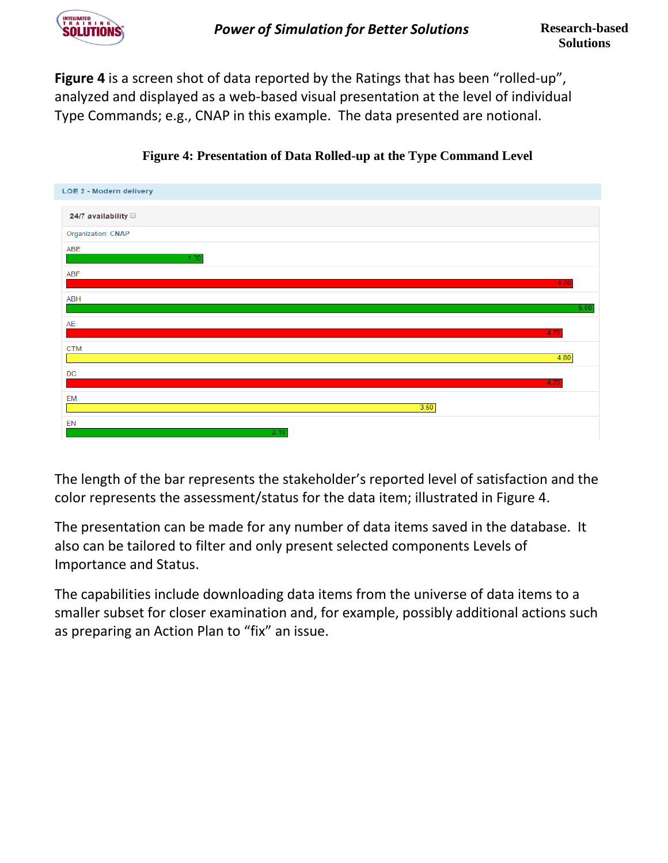

**Figure 4** is a screen shot of data reported by the Ratings that has been "rolled-up", analyzed and displayed as a web-based visual presentation at the level of individual Type Commands; e.g., CNAP in this example. The data presented are notional.



**[Figure](http://www.itsnc.net/) 4: Presentation of Data Rolled-up at the Type Command Level**

The length of the bar represents the stakeholder's reported level of satisfaction and the color represents the assessment/status for the data item; illustrated in Figure 4.

The presentation can be made for any number of data items saved in the database. It also can be tailored to filter and only present selected components Levels of Importance and Status.

The capabilities include downloading data items from the universe of data items to a smaller subset for closer examination and, for example, possibly additional actions such as preparing an Action Plan to "fix" an issue.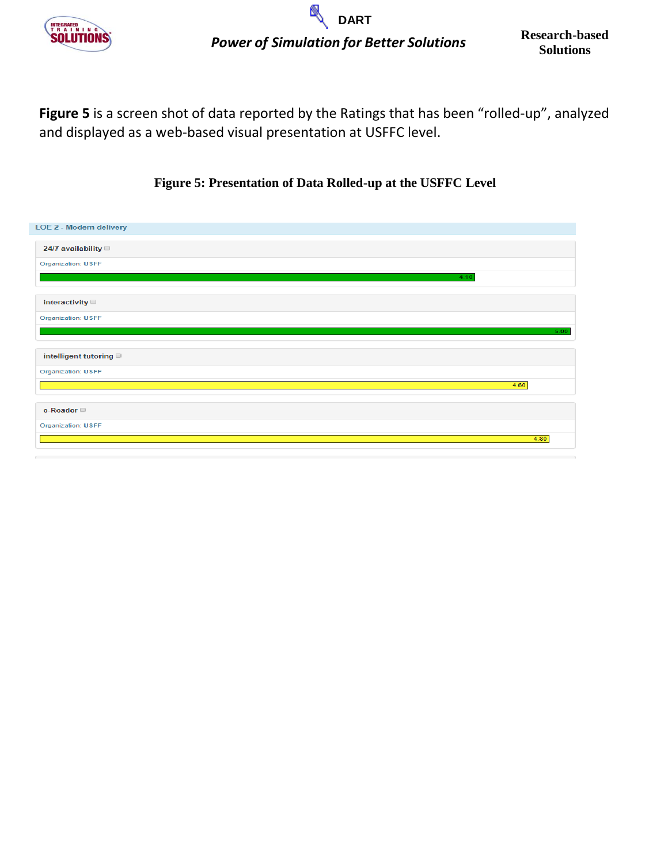

**Figure 5** is a screen shot of data reported by the Ratings that has been "rolled-up", analyzed and displayed as a web-based visual presentation at USFFC level.

# **[Figure](http://www.itsnc.net/) 5: Presentation of Data Rolled-up at the USFFC Level**

| LOE 2 - Modern delivery   |      |
|---------------------------|------|
| 24/7 availability         |      |
| <b>Organization: USFF</b> |      |
|                           | 4.10 |
| interactivity $\Box$      |      |
| <b>Organization: USFF</b> |      |
|                           | 5.00 |
| intelligent tutoring      |      |
| <b>Organization: USFF</b> |      |
|                           | 4.60 |
| e-Reader                  |      |
| <b>Organization: USFF</b> |      |
|                           | 4.80 |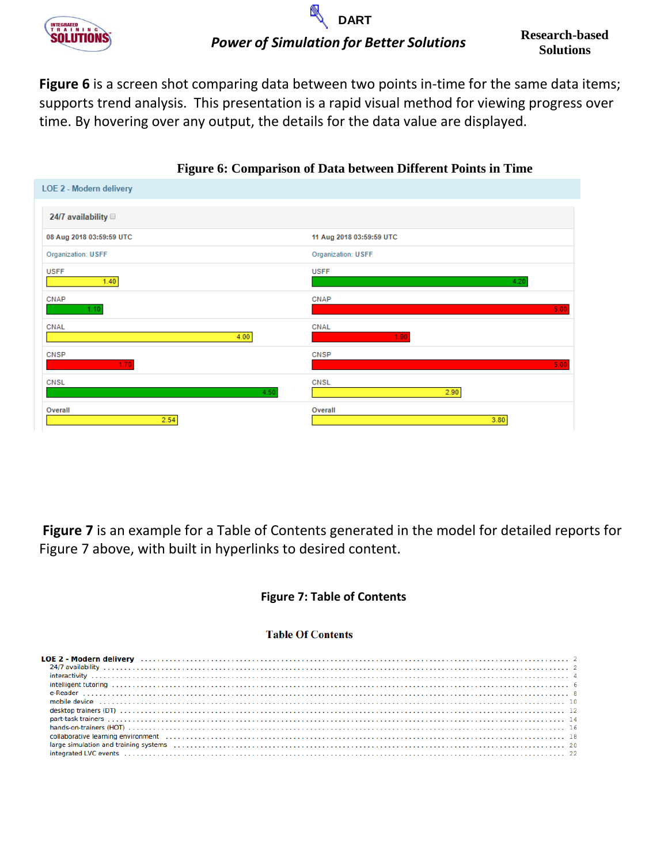

# **Solutions** *Power of Simulation for Better Solutions* **DART**

**Figure 6** is a screen shot comparing data between two points in-time for the same data items; supports trend analysis. This presentation is a rapid visual method for viewing progress over time. By hovering over any output, the details for the data value are displayed.

|                           | $\sim$<br>$-1$            |
|---------------------------|---------------------------|
| LOE 2 - Modern delivery   |                           |
| 24/7 availability         |                           |
| 08 Aug 2018 03:59:59 UTC  | 11 Aug 2018 03:59:59 UTC  |
| <b>Organization: USFF</b> | <b>Organization: USFF</b> |
| <b>USFF</b>               | <b>USFF</b>               |
| 1.40                      | 4.20                      |
| CNAP                      | CNAP                      |
| 1.10                      | 5.00                      |
| CNAL                      | CNAL                      |
| 4.00                      | 1.90                      |
| CNSP                      | CNSP                      |
| 1.70                      | 5.00                      |
| CNSL                      | <b>CNSL</b>               |
| 4.50                      | 2.90                      |
| Overall                   | Overall                   |
| 2.54                      | 3.80                      |

## **[Figure](http://www.itsnc.net/) 6: Comparison of Data between Different Points in Time**

**Figure 7** is an example for a Table of Contents generated in the model for detailed reports for Figure 7 above, with built in hyperlinks to desired content.

### **[Figure](http://www.itsnc.net/) 7: Table of Contents**

#### **Table Of Contents**

| collaborative learning environment (additional contact and the contact and the contact and the contact and the contact and the contact and the contact and the contact and the contact and the contact and the contact and the                                                                                                                                                                                                                                                                                 |  |  |  |  |  |  |  |  |  |  |  |  |
|----------------------------------------------------------------------------------------------------------------------------------------------------------------------------------------------------------------------------------------------------------------------------------------------------------------------------------------------------------------------------------------------------------------------------------------------------------------------------------------------------------------|--|--|--|--|--|--|--|--|--|--|--|--|
|                                                                                                                                                                                                                                                                                                                                                                                                                                                                                                                |  |  |  |  |  |  |  |  |  |  |  |  |
| $\textit{\textbf{interated LVC events}} \hspace{0.03in} \textit{\textbf{u}} \textit{\textbf{u}} \textit{\textbf{u}} \textit{\textbf{u}} \textit{\textbf{u}} \textit{\textbf{u}} \textit{\textbf{u}} \textit{\textbf{u}} \textit{\textbf{u}} \textit{\textbf{u}} \textit{\textbf{u}} \textit{\textbf{u}} \textit{\textbf{u}} \textit{\textbf{u}} \textit{\textbf{u}} \textit{\textbf{u}} \textit{\textbf{u}} \textit{\textbf{u}} \textit{\textbf{u}} \textit{\textbf{u}} \textit{\textbf{u}} \textit{\textbf{u$ |  |  |  |  |  |  |  |  |  |  |  |  |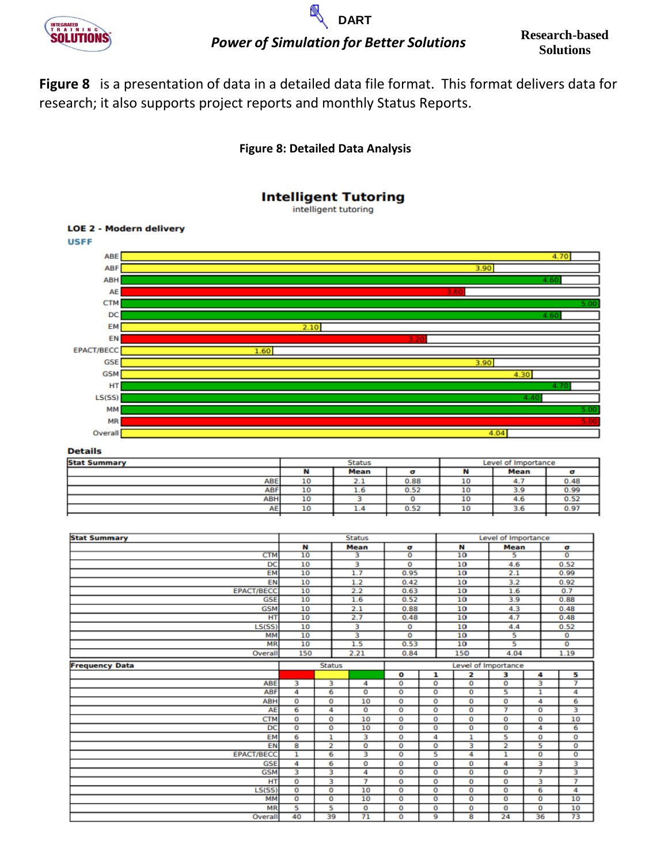

# **Solutions** *Power of Simulation for Better Solutions* **DART**

▧

**Research-based** 

**Figure 8** is a presentation of data in a detailed data file format. This format delivers data for research; it also supports project reports and monthly Status Reports.

# **[Figure](http://www.itsnc.net/) 8: Detailed Data Analysis**



#### **Details**

|           | <b>Status</b>            |      | Level of Importance |             |      |  |  |  |  |
|-----------|--------------------------|------|---------------------|-------------|------|--|--|--|--|
|           | <b>Mean</b>              |      |                     | <b>Mean</b> |      |  |  |  |  |
| 10        | $-$<br>$\sim$ $\sim$     | 0.88 | 10                  | 4.7         | 0.48 |  |  |  |  |
| 10        | 1.6                      | 0.52 | 10                  | 3.9         | 0.99 |  |  |  |  |
| 10        |                          |      | 10                  | 4.6         | 0.52 |  |  |  |  |
| 10        | 1.9                      | 0.52 | 10                  | 3.6         | 0.97 |  |  |  |  |
| ABE<br>AE | <b>ABF</b><br><b>ABH</b> |      |                     |             |      |  |  |  |  |

| <b>Stat Summary</b>   |                         |                         | <b>Status</b>   |                         |                         | Level of Importance     |                         |                |                   |  |  |  |
|-----------------------|-------------------------|-------------------------|-----------------|-------------------------|-------------------------|-------------------------|-------------------------|----------------|-------------------|--|--|--|
|                       | N                       |                         | <b>Mean</b>     | σ                       |                         | N                       | <b>Mean</b>             |                | σ                 |  |  |  |
| <b>CTM</b>            | 10                      |                         | з               | $\overline{\mathbf{o}}$ |                         | 10                      | s                       |                | $\overline{0}$    |  |  |  |
| DC                    | 10                      |                         | з               | 0                       |                         | 10                      | 4.6                     |                | 0.52              |  |  |  |
| <b>EM</b>             | 10                      |                         | 1.7             | 0.95                    |                         | 10                      | 2.1                     |                | 0.99              |  |  |  |
| EN                    | 10                      |                         | 1.2             | 0.42                    |                         | 10                      | 3.2                     |                | 0.92              |  |  |  |
| <b>EPACT/BECC</b>     | 10                      |                         | 2.2             | 0.63                    |                         | 10                      | 1.6                     |                | 0.7               |  |  |  |
| <b>GSE</b>            | 10                      |                         | 1.6             | 0.52                    |                         | 10                      | 3.9                     |                | 0.88              |  |  |  |
| <b>GSM</b>            | 10                      |                         | 2.1             | 0.88                    |                         | 10                      | 4.3                     |                | 0.48              |  |  |  |
| HT                    | 10                      |                         | 2.7             | 0.48                    |                         | 10                      | 4.7                     |                | 0.48              |  |  |  |
| LS(SS)                | 10                      |                         | 3               | 0                       |                         | 10                      | 4.4                     |                | 0.52              |  |  |  |
| <b>MM</b>             | 10                      |                         | 3               | 0                       |                         | 10                      | 5                       |                | $\mathbf 0$       |  |  |  |
| <b>MR</b>             | 10                      |                         | 1.5             | 0.53                    |                         | 10                      | 5                       |                | $\overline{0}$    |  |  |  |
| Overall               | 150                     |                         | 2.21            | 0.84                    |                         | 150                     | 4.04                    |                | 1.19              |  |  |  |
| <b>Frequency Data</b> | <b>Status</b>           |                         |                 |                         |                         | Level of Importance     |                         |                |                   |  |  |  |
|                       |                         |                         |                 | $\mathbf o$             | ı                       | $\overline{\mathbf{z}}$ | з                       | 4              | 5                 |  |  |  |
| ABE                   | з                       | з                       | 4               | $\mathbf 0$             | o                       | o                       | $\overline{\mathbf{o}}$ | 3              | $\overline{\tau}$ |  |  |  |
| <b>ABF</b>            | 4                       | 6                       | $\overline{0}$  | $\overline{0}$          | $\overline{0}$          | $\overline{0}$          | 5                       | ı              | 4                 |  |  |  |
| <b>ABH</b>            | 0                       | o                       | 10              | 0                       | 0                       | o                       | o                       | 4              | 6                 |  |  |  |
| AE                    | 6                       | 4                       | 0               | $\overline{0}$          | $\overline{0}$          | $\overline{0}$          | 7                       | $\overline{0}$ | 3                 |  |  |  |
| <b>CTM</b>            | 0                       | 0                       | 10              | 0                       | 0                       | o                       | 0                       | 0              | 10                |  |  |  |
| DC                    | $\overline{0}$          | $\overline{\mathbf{o}}$ | 10              | $\overline{0}$          | $\overline{0}$          | $\overline{0}$          | $\overline{\mathbf{o}}$ | 4              | 6                 |  |  |  |
| EM                    | 6                       | 1                       | з               | 0                       | 4                       | 1                       | 5                       | 0              | 0                 |  |  |  |
| EN                    | 8                       | $\overline{2}$          | $\mathbf 0$     | $\mathbf 0$             | o                       | 3                       | $\overline{\mathbf{2}}$ | 5              | $\bf{0}$          |  |  |  |
| <b>EPACT/BECC</b>     | 1                       | 6                       | з               | $\circ$                 | 5                       | 4                       | ı                       | $\overline{0}$ | $\overline{0}$    |  |  |  |
| <b>GSE</b>            | 4                       | 6                       | 0               | 0                       | 0                       | o                       | 4                       | з              | 3                 |  |  |  |
| <b>GSM</b>            | з                       | 3                       | 4               | $\overline{0}$          | $\overline{\mathbf{o}}$ | $\overline{\mathbf{o}}$ | $\overline{\mathbf{o}}$ | 7              |                   |  |  |  |
| HT                    | 0                       | з                       | 7               | 0                       | 0                       | 0                       | 0                       | з              | 7                 |  |  |  |
| LS(SS)                | $\overline{\mathbf{o}}$ | $\overline{0}$          | 10              | $\mathbf 0$             | 0                       | o                       | o                       | 6              | 4                 |  |  |  |
| <b>MM</b>             | $\overline{0}$          | $\overline{0}$          | 10              | $\overline{0}$          | $\overline{0}$          | $\overline{0}$          | O                       | $\overline{0}$ | 10                |  |  |  |
| <b>MR</b>             | 5                       | 5                       | 0               | 0                       | 0                       | o                       | o                       | 0              | 10                |  |  |  |
| Overall               | 40                      | 39                      | $\overline{71}$ | $\overline{0}$          | 9                       | 8                       | 24                      | 36             | 73                |  |  |  |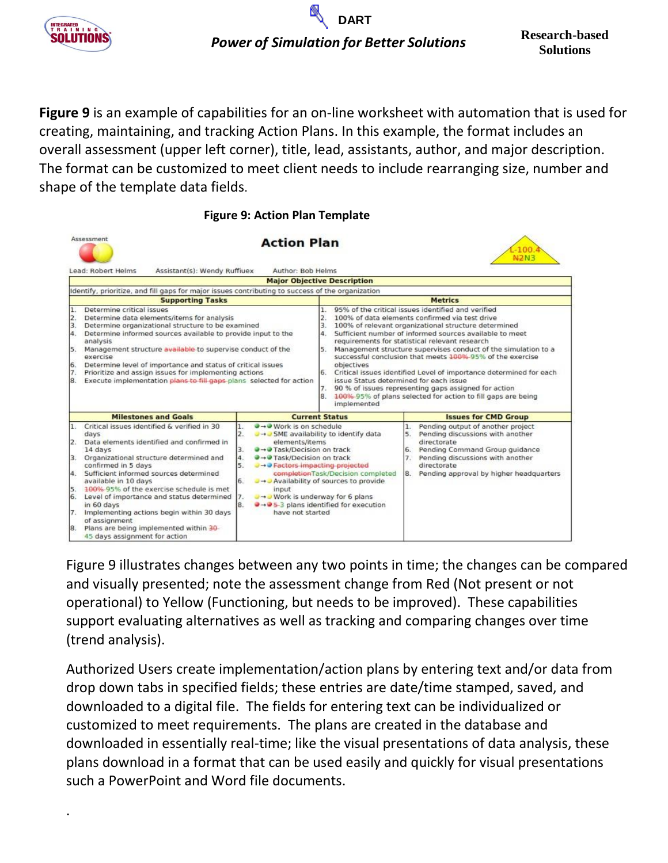

.

**Figure 9** is an example of capabilities for an on-line worksheet with automation that is used for creating, maintaining, and tracking Action Plans. In this example, the format includes an overall assessment (upper left corner), title, lead, assistants, author, and major description. The format can be customized to meet client needs to include rearranging size, number and shape of the template data fields.

#### **Figure 9: Action Plan Template**

|                                            | Assessment                                                                                                                                                                                                                                                                                                                                                                                                                                                                                     |                                  | <b>Action Plan</b>                                                                                                                                                                                                                                                                                                                                              |                                  |                                                                     |                      | N <sub>2N3</sub>                                                                                                                                                                                                                                                                                                                                                                                                                                                                                                                                 |
|--------------------------------------------|------------------------------------------------------------------------------------------------------------------------------------------------------------------------------------------------------------------------------------------------------------------------------------------------------------------------------------------------------------------------------------------------------------------------------------------------------------------------------------------------|----------------------------------|-----------------------------------------------------------------------------------------------------------------------------------------------------------------------------------------------------------------------------------------------------------------------------------------------------------------------------------------------------------------|----------------------------------|---------------------------------------------------------------------|----------------------|--------------------------------------------------------------------------------------------------------------------------------------------------------------------------------------------------------------------------------------------------------------------------------------------------------------------------------------------------------------------------------------------------------------------------------------------------------------------------------------------------------------------------------------------------|
|                                            | Lead: Robert Helms<br>Assistant(s): Wendy Ruffiuex                                                                                                                                                                                                                                                                                                                                                                                                                                             |                                  | Author: Bob Helms                                                                                                                                                                                                                                                                                                                                               |                                  |                                                                     |                      |                                                                                                                                                                                                                                                                                                                                                                                                                                                                                                                                                  |
|                                            |                                                                                                                                                                                                                                                                                                                                                                                                                                                                                                |                                  | <b>Major Objective Description</b>                                                                                                                                                                                                                                                                                                                              |                                  |                                                                     |                      |                                                                                                                                                                                                                                                                                                                                                                                                                                                                                                                                                  |
|                                            | Identify, prioritize, and fill gaps for major issues contributing to success of the organization                                                                                                                                                                                                                                                                                                                                                                                               |                                  |                                                                                                                                                                                                                                                                                                                                                                 |                                  |                                                                     |                      |                                                                                                                                                                                                                                                                                                                                                                                                                                                                                                                                                  |
|                                            | <b>Supporting Tasks</b>                                                                                                                                                                                                                                                                                                                                                                                                                                                                        |                                  |                                                                                                                                                                                                                                                                                                                                                                 |                                  |                                                                     |                      | <b>Metrics</b>                                                                                                                                                                                                                                                                                                                                                                                                                                                                                                                                   |
| 2.<br>3.<br>4.<br>5.<br>6.<br>7.<br>8.     | Determine data elements/items for analysis<br>Determine organizational structure to be examined<br>Determine informed sources available to provide input to the<br>analysis<br>Management structure available to supervise conduct of the<br>exercise<br>Determine level of importance and status of critical issues<br>Prioritize and assign issues for implementing actions<br>Execute implementation plans to fill gaps plans selected for action                                           |                                  |                                                                                                                                                                                                                                                                                                                                                                 | З.<br>4.<br>5.<br>6.<br>7.<br>8. | objectives<br>issue Status determined for each issue<br>implemented |                      | 100% of data elements confirmed via test drive<br>100% of relevant organizational structure determined<br>Sufficient number of informed sources available to meet<br>requirements for statistical relevant research<br>Management structure supervises conduct of the simulation to a<br>successful conclusion that meets 100%-95% of the exercise<br>Critical issues identified Level of importance determined for each<br>90 % of issues representing gaps assigned for action<br>100%-95% of plans selected for action to fill gaps are being |
|                                            | <b>Milestones and Goals</b>                                                                                                                                                                                                                                                                                                                                                                                                                                                                    |                                  | <b>Current Status</b>                                                                                                                                                                                                                                                                                                                                           |                                  |                                                                     |                      | <b>Issues for CMD Group</b>                                                                                                                                                                                                                                                                                                                                                                                                                                                                                                                      |
| $\mathbf{2}$<br>3.<br>4.<br>6.<br>7.<br>8. | Critical issues identified & verified in 30<br>days<br>Data elements identified and confirmed in<br>14 days<br>Organizational structure determined and<br>confirmed in 5 days<br>Sufficient informed sources determined<br>available in 10 days<br>100% 95% of the exercise schedule is met<br>Level of importance and status determined<br>in 60 days<br>Implementing actions begin within 30 days<br>of assignment<br>Plans are being implemented within 30<br>45 days assignment for action | 2.<br>3.<br>4.<br>5.<br>6.<br>8. | $\rightarrow$ Work is on schedule<br>J - SME availability to identify data<br>elements/items<br><b>■→● Task/Decision on track</b><br><b>●→● Task/Decision on track</b><br>→ → Pactors impacting projected<br>a + a Availability of sources to provide<br>input<br>U→D Work is underway for 6 plans<br>→→ 5-3 plans identified for execution<br>have not started |                                  | completionTask/Decision completed                                   | 1.<br>5.<br>6.<br>7. | Pending output of another project<br>Pending discussions with another<br>directorate<br>Pending Command Group guidance<br>Pending discussions with another<br>directorate<br>Pending approval by higher headquarters                                                                                                                                                                                                                                                                                                                             |

Figure 9 illustrates changes between any two points in time; the changes can be compared and visually presented; note the assessment change from Red (Not present or not operational) to Yellow (Functioning, but needs to be improved). These capabilities support evaluating alternatives as well as tracking and comparing changes over time (trend analysis).

Authorized Users create implementation/action plans by entering text and/or data from drop down tabs in specified fields; these entries are date/time stamped, saved, and downloaded to a digital file. The fields for entering text can be individualized or customized to meet requirements. The plans are created in the database and downloaded in essentially real-time; like the visual presentations of data analysis, these plans download in a format that can be used easily and quickly for visual presentations such a PowerPoint and Word file documents.